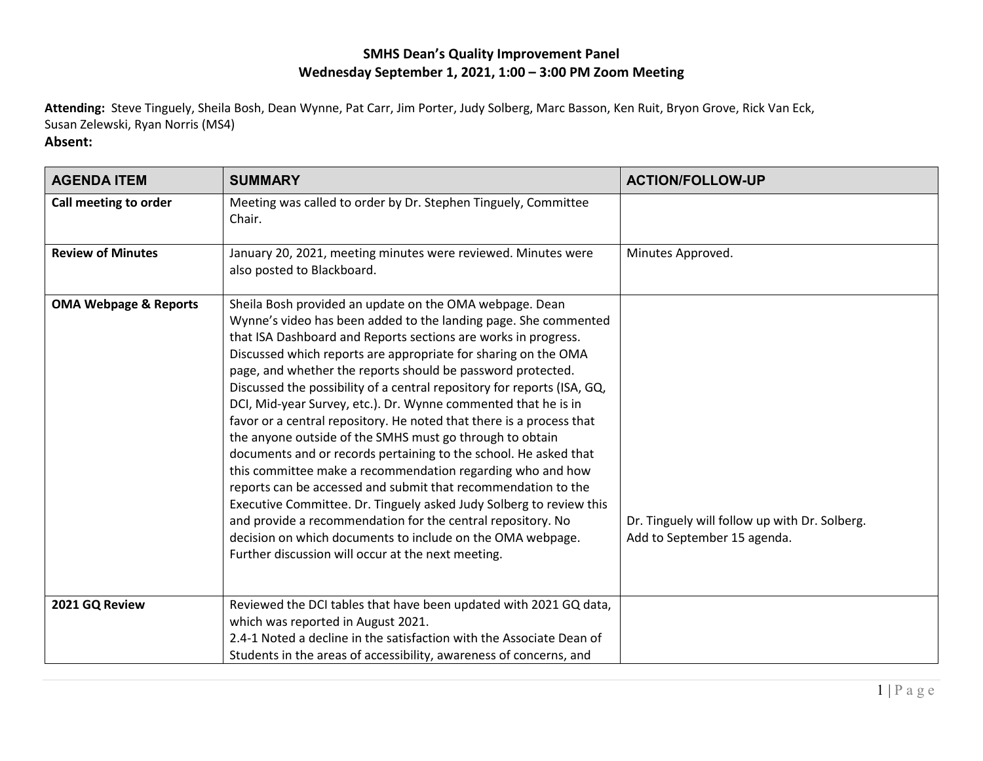## **SMHS Dean's Quality Improvement Panel Wednesday September 1, 2021, 1:00 – 3:00 PM Zoom Meeting**

**Attending:** Steve Tinguely, Sheila Bosh, Dean Wynne, Pat Carr, Jim Porter, Judy Solberg, Marc Basson, Ken Ruit, Bryon Grove, Rick Van Eck, Susan Zelewski, Ryan Norris (MS4)

## **Absent:**

| <b>AGENDA ITEM</b>               | <b>SUMMARY</b>                                                                                                                                                                                                                                                                                                                                                                                                                                                                                                                                                                                                                                                                                                                                                                                                                                                                                                                                                                                                                                                              | <b>ACTION/FOLLOW-UP</b>                                                      |
|----------------------------------|-----------------------------------------------------------------------------------------------------------------------------------------------------------------------------------------------------------------------------------------------------------------------------------------------------------------------------------------------------------------------------------------------------------------------------------------------------------------------------------------------------------------------------------------------------------------------------------------------------------------------------------------------------------------------------------------------------------------------------------------------------------------------------------------------------------------------------------------------------------------------------------------------------------------------------------------------------------------------------------------------------------------------------------------------------------------------------|------------------------------------------------------------------------------|
| Call meeting to order            | Meeting was called to order by Dr. Stephen Tinguely, Committee<br>Chair.                                                                                                                                                                                                                                                                                                                                                                                                                                                                                                                                                                                                                                                                                                                                                                                                                                                                                                                                                                                                    |                                                                              |
| <b>Review of Minutes</b>         | January 20, 2021, meeting minutes were reviewed. Minutes were<br>also posted to Blackboard.                                                                                                                                                                                                                                                                                                                                                                                                                                                                                                                                                                                                                                                                                                                                                                                                                                                                                                                                                                                 | Minutes Approved.                                                            |
| <b>OMA Webpage &amp; Reports</b> | Sheila Bosh provided an update on the OMA webpage. Dean<br>Wynne's video has been added to the landing page. She commented<br>that ISA Dashboard and Reports sections are works in progress.<br>Discussed which reports are appropriate for sharing on the OMA<br>page, and whether the reports should be password protected.<br>Discussed the possibility of a central repository for reports (ISA, GQ,<br>DCI, Mid-year Survey, etc.). Dr. Wynne commented that he is in<br>favor or a central repository. He noted that there is a process that<br>the anyone outside of the SMHS must go through to obtain<br>documents and or records pertaining to the school. He asked that<br>this committee make a recommendation regarding who and how<br>reports can be accessed and submit that recommendation to the<br>Executive Committee. Dr. Tinguely asked Judy Solberg to review this<br>and provide a recommendation for the central repository. No<br>decision on which documents to include on the OMA webpage.<br>Further discussion will occur at the next meeting. | Dr. Tinguely will follow up with Dr. Solberg.<br>Add to September 15 agenda. |
| 2021 GQ Review                   | Reviewed the DCI tables that have been updated with 2021 GQ data,<br>which was reported in August 2021.<br>2.4-1 Noted a decline in the satisfaction with the Associate Dean of<br>Students in the areas of accessibility, awareness of concerns, and                                                                                                                                                                                                                                                                                                                                                                                                                                                                                                                                                                                                                                                                                                                                                                                                                       |                                                                              |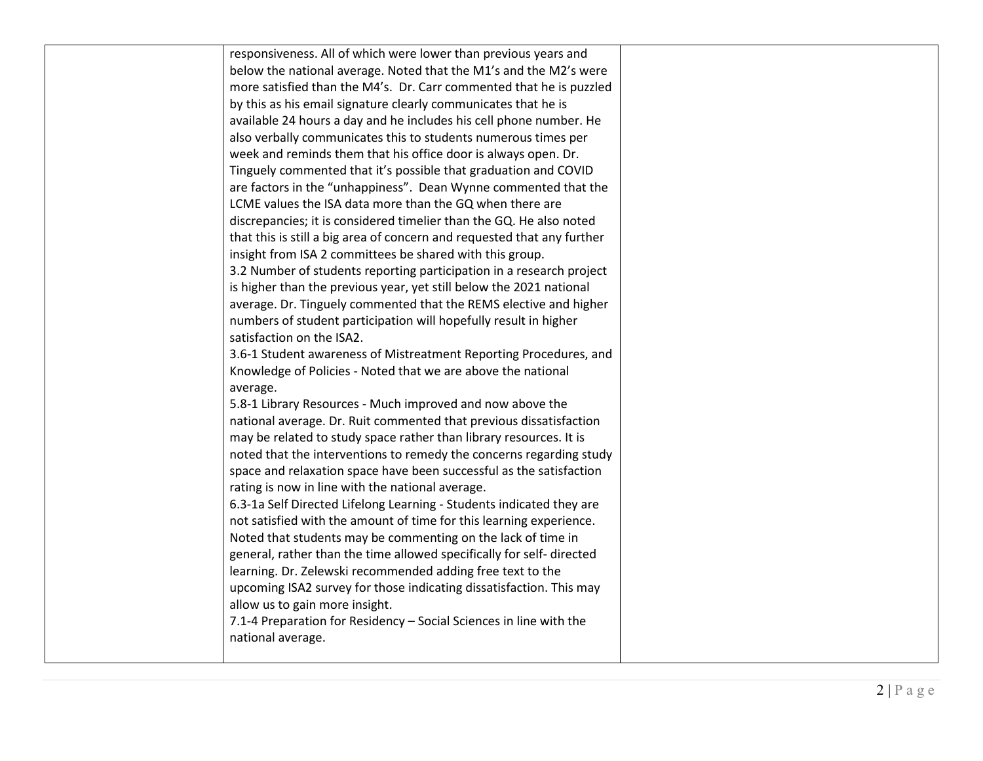| responsiveness. All of which were lower than previous years and         |  |
|-------------------------------------------------------------------------|--|
| below the national average. Noted that the M1's and the M2's were       |  |
| more satisfied than the M4's. Dr. Carr commented that he is puzzled     |  |
| by this as his email signature clearly communicates that he is          |  |
| available 24 hours a day and he includes his cell phone number. He      |  |
| also verbally communicates this to students numerous times per          |  |
| week and reminds them that his office door is always open. Dr.          |  |
| Tinguely commented that it's possible that graduation and COVID         |  |
| are factors in the "unhappiness". Dean Wynne commented that the         |  |
| LCME values the ISA data more than the GQ when there are                |  |
| discrepancies; it is considered timelier than the GQ. He also noted     |  |
| that this is still a big area of concern and requested that any further |  |
| insight from ISA 2 committees be shared with this group.                |  |
| 3.2 Number of students reporting participation in a research project    |  |
| is higher than the previous year, yet still below the 2021 national     |  |
| average. Dr. Tinguely commented that the REMS elective and higher       |  |
| numbers of student participation will hopefully result in higher        |  |
| satisfaction on the ISA2.                                               |  |
| 3.6-1 Student awareness of Mistreatment Reporting Procedures, and       |  |
| Knowledge of Policies - Noted that we are above the national            |  |
| average.                                                                |  |
| 5.8-1 Library Resources - Much improved and now above the               |  |
| national average. Dr. Ruit commented that previous dissatisfaction      |  |
| may be related to study space rather than library resources. It is      |  |
| noted that the interventions to remedy the concerns regarding study     |  |
| space and relaxation space have been successful as the satisfaction     |  |
| rating is now in line with the national average.                        |  |
| 6.3-1a Self Directed Lifelong Learning - Students indicated they are    |  |
| not satisfied with the amount of time for this learning experience.     |  |
| Noted that students may be commenting on the lack of time in            |  |
| general, rather than the time allowed specifically for self-directed    |  |
| learning. Dr. Zelewski recommended adding free text to the              |  |
| upcoming ISA2 survey for those indicating dissatisfaction. This may     |  |
| allow us to gain more insight.                                          |  |
| 7.1-4 Preparation for Residency - Social Sciences in line with the      |  |
| national average.                                                       |  |
|                                                                         |  |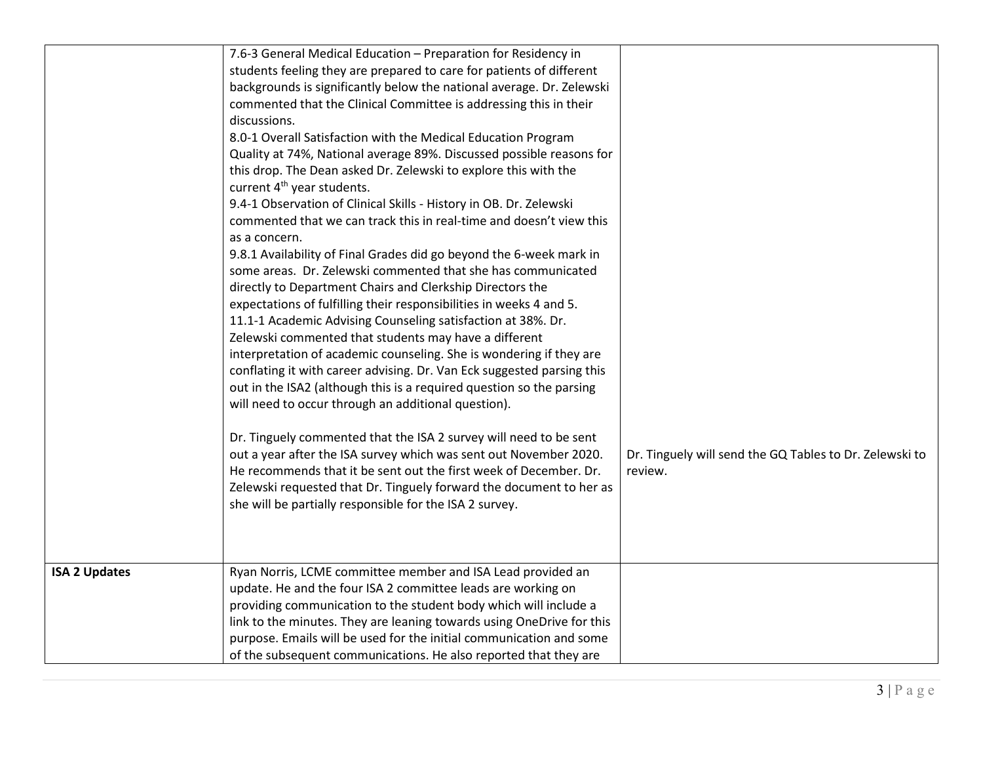|                      | 7.6-3 General Medical Education - Preparation for Residency in<br>students feeling they are prepared to care for patients of different<br>backgrounds is significantly below the national average. Dr. Zelewski<br>commented that the Clinical Committee is addressing this in their<br>discussions.<br>8.0-1 Overall Satisfaction with the Medical Education Program<br>Quality at 74%, National average 89%. Discussed possible reasons for<br>this drop. The Dean asked Dr. Zelewski to explore this with the<br>current 4 <sup>th</sup> year students.<br>9.4-1 Observation of Clinical Skills - History in OB. Dr. Zelewski<br>commented that we can track this in real-time and doesn't view this<br>as a concern.<br>9.8.1 Availability of Final Grades did go beyond the 6-week mark in<br>some areas. Dr. Zelewski commented that she has communicated<br>directly to Department Chairs and Clerkship Directors the<br>expectations of fulfilling their responsibilities in weeks 4 and 5.<br>11.1-1 Academic Advising Counseling satisfaction at 38%. Dr.<br>Zelewski commented that students may have a different<br>interpretation of academic counseling. She is wondering if they are<br>conflating it with career advising. Dr. Van Eck suggested parsing this<br>out in the ISA2 (although this is a required question so the parsing<br>will need to occur through an additional question).<br>Dr. Tinguely commented that the ISA 2 survey will need to be sent<br>out a year after the ISA survey which was sent out November 2020.<br>He recommends that it be sent out the first week of December. Dr.<br>Zelewski requested that Dr. Tinguely forward the document to her as<br>she will be partially responsible for the ISA 2 survey. | Dr. Tinguely will send the GQ Tables to Dr. Zelewski to<br>review. |
|----------------------|---------------------------------------------------------------------------------------------------------------------------------------------------------------------------------------------------------------------------------------------------------------------------------------------------------------------------------------------------------------------------------------------------------------------------------------------------------------------------------------------------------------------------------------------------------------------------------------------------------------------------------------------------------------------------------------------------------------------------------------------------------------------------------------------------------------------------------------------------------------------------------------------------------------------------------------------------------------------------------------------------------------------------------------------------------------------------------------------------------------------------------------------------------------------------------------------------------------------------------------------------------------------------------------------------------------------------------------------------------------------------------------------------------------------------------------------------------------------------------------------------------------------------------------------------------------------------------------------------------------------------------------------------------------------------------------------------------------------------------------------------------------|--------------------------------------------------------------------|
| <b>ISA 2 Updates</b> | Ryan Norris, LCME committee member and ISA Lead provided an<br>update. He and the four ISA 2 committee leads are working on<br>providing communication to the student body which will include a<br>link to the minutes. They are leaning towards using OneDrive for this<br>purpose. Emails will be used for the initial communication and some<br>of the subsequent communications. He also reported that they are                                                                                                                                                                                                                                                                                                                                                                                                                                                                                                                                                                                                                                                                                                                                                                                                                                                                                                                                                                                                                                                                                                                                                                                                                                                                                                                                           |                                                                    |